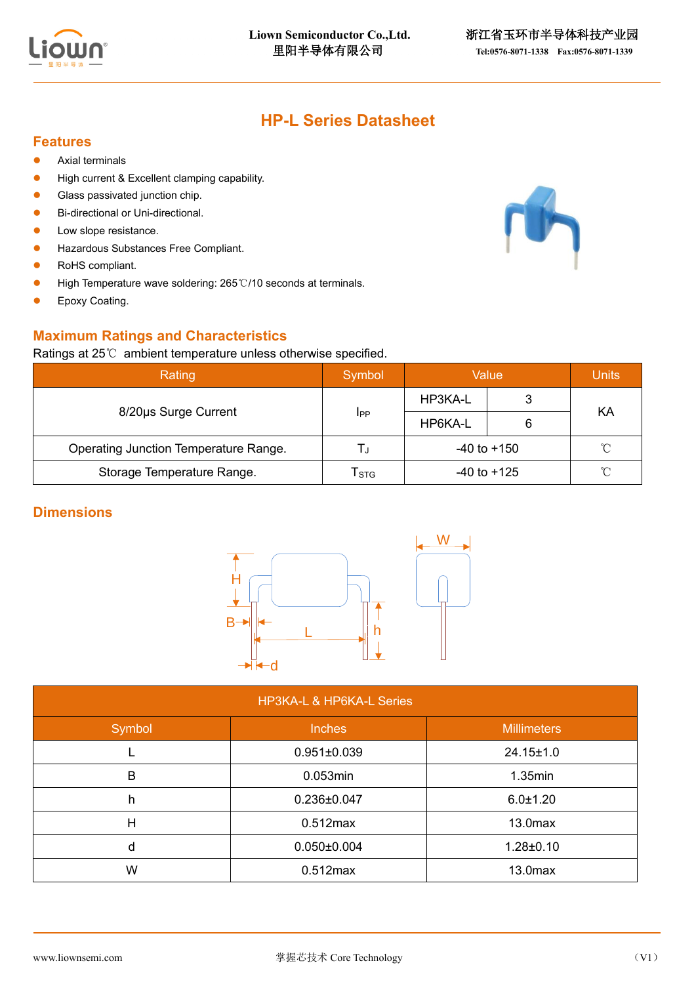

# **HP-L Series Datasheet**

#### **Features**

- Axial terminals
- High current & Excellent clamping capability.
- Glass passivated junction chip.
- Bi-directional or Uni-directional.
- Low slope resistance.
- Hazardous Substances Free Compliant.
- RoHS compliant.
- High Temperature wave soldering: 265℃/10 seconds at terminals.
- Epoxy Coating.

## **Maximum Ratings and Characteristics**

#### Ratings at 25℃ ambient temperature unless otherwise specified.

| imum Ratings and Characteristics<br>ngs at 25 $\degree$ ambient temperature unless otherwise specified. |             |                 |              |    |  |  |  |  |
|---------------------------------------------------------------------------------------------------------|-------------|-----------------|--------------|----|--|--|--|--|
| Rating                                                                                                  | Symbol      | Value           | <b>Units</b> |    |  |  |  |  |
|                                                                                                         |             | HP3KA-L         |              | KA |  |  |  |  |
| 8/20us Surge Current                                                                                    | <b>I</b> PP | HP6KA-L         | 6            |    |  |  |  |  |
| Operating Junction Temperature Range.                                                                   | L,          | $-40$ to $+150$ |              | °C |  |  |  |  |
| Storage Temperature Range.                                                                              | Tstg        | $-40$ to $+125$ |              | °C |  |  |  |  |

### **Dimensions**



| <b>HP3KA-L &amp; HP6KA-L Series</b> |                   |                     |  |  |  |  |  |
|-------------------------------------|-------------------|---------------------|--|--|--|--|--|
| Symbol                              | <b>Inches</b>     | <b>Millimeters</b>  |  |  |  |  |  |
|                                     | $0.951 \pm 0.039$ | $24.15 \pm 1.0$     |  |  |  |  |  |
| в                                   | 0.053min          | $1.35$ min          |  |  |  |  |  |
| h                                   | 0.236±0.047       | $6.0 \pm 1.20$      |  |  |  |  |  |
| н                                   | $0.512$ max       | 13.0 <sub>max</sub> |  |  |  |  |  |
| d                                   | $0.050 \pm 0.004$ | $1.28 \pm 0.10$     |  |  |  |  |  |
| W                                   | $0.512$ max       | 13.0 <sub>max</sub> |  |  |  |  |  |

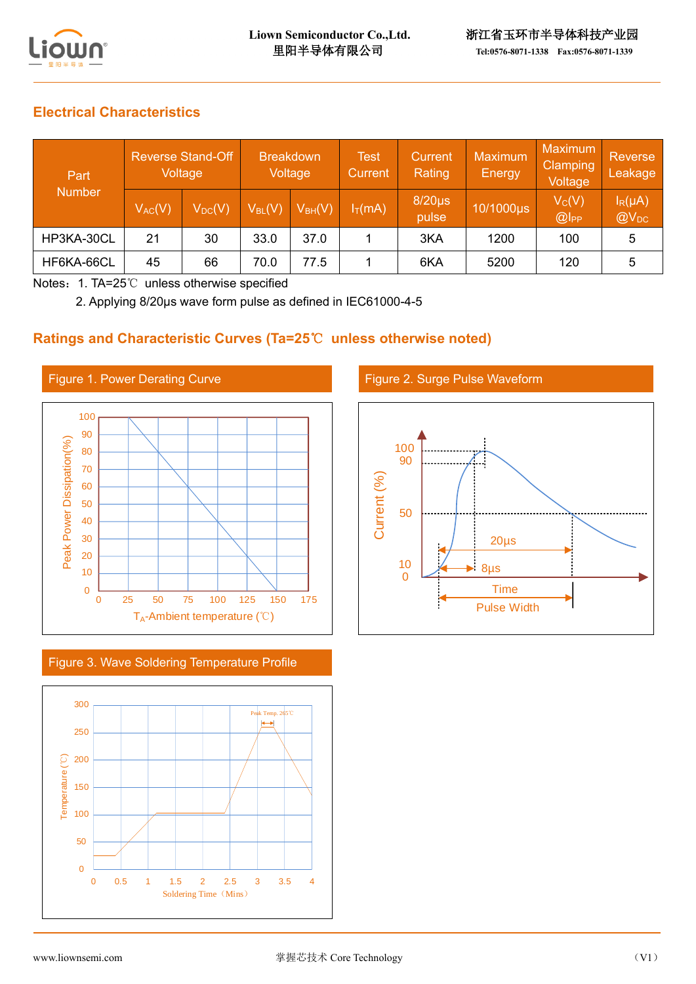

# **Electrical Characteristics**

| Part<br><b>Number</b> | <b>Reverse Stand-Off</b><br>Voltage |             | <b>Breakdown</b><br>Voltage            |             | <b>Test</b><br>Current | Current<br>Rating    | <b>Maximum</b><br>Energy | <b>Maximum</b><br><b>Clamping</b><br>Voltage | Reverse<br>Leakage        |
|-----------------------|-------------------------------------|-------------|----------------------------------------|-------------|------------------------|----------------------|--------------------------|----------------------------------------------|---------------------------|
|                       | $V_{AC}(V)$                         | $V_{DC}(V)$ | $\mathsf{V}_{\mathsf{BL}}(\mathsf{V})$ | $V_{BH}(V)$ | $I_T(mA)$              | $8/20\mu s$<br>pulse | 10/1000µs                | $V_C(V)$<br>@                                | $I_R(\mu A)$<br>$@V_{DC}$ |
| HP3KA-30CL            | 21                                  | 30          | 33.0                                   | 37.0        |                        | 3KA                  | 1200                     | 100                                          |                           |
| HF6KA-66CL            | 45                                  | 66          | 70.0                                   | 77.5        |                        | 6KA                  | 5200                     | 120                                          |                           |

Notes:1. TA=25℃ unless otherwise specified

2. Applying 8/20μs wave form pulse as defined in IEC61000-4-5

## **Ratings and Characteristic Curves (Ta=25**℃ **unless otherwise noted)**



Figure 3. Wave Soldering Temperature Profile